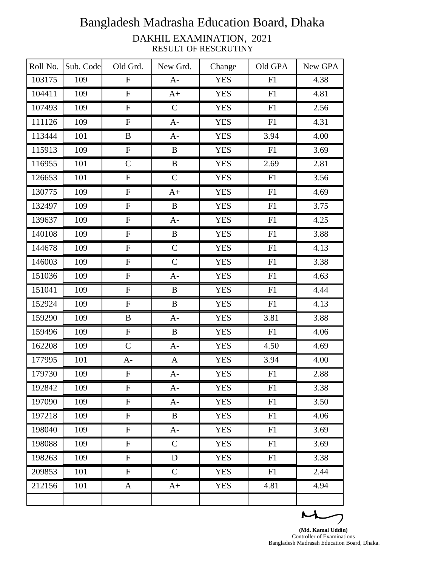| Roll No. | Sub. Code | Old Grd.                  | New Grd.     | Change     | Old GPA | New GPA |
|----------|-----------|---------------------------|--------------|------------|---------|---------|
| 103175   | 109       | $\boldsymbol{\mathrm{F}}$ | $A-$         | <b>YES</b> | F1      | 4.38    |
| 104411   | 109       | ${\bf F}$                 | $A+$         | <b>YES</b> | F1      | 4.81    |
| 107493   | 109       | ${\bf F}$                 | $\mathsf{C}$ | <b>YES</b> | F1      | 2.56    |
| 111126   | 109       | ${\bf F}$                 | $A-$         | <b>YES</b> | F1      | 4.31    |
| 113444   | 101       | B                         | $A-$         | <b>YES</b> | 3.94    | 4.00    |
| 115913   | 109       | ${\bf F}$                 | $\bf{B}$     | <b>YES</b> | F1      | 3.69    |
| 116955   | 101       | $\mathbf C$               | $\bf{B}$     | <b>YES</b> | 2.69    | 2.81    |
| 126653   | 101       | ${\bf F}$                 | ${\bf C}$    | <b>YES</b> | F1      | 3.56    |
| 130775   | 109       | ${\bf F}$                 | $A+$         | <b>YES</b> | F1      | 4.69    |
| 132497   | 109       | $\boldsymbol{\mathrm{F}}$ | $\bf{B}$     | <b>YES</b> | F1      | 3.75    |
| 139637   | 109       | ${\bf F}$                 | $A-$         | <b>YES</b> | F1      | 4.25    |
| 140108   | 109       | ${\bf F}$                 | $\, {\bf B}$ | <b>YES</b> | F1      | 3.88    |
| 144678   | 109       | $\mathbf F$               | $\mathbf C$  | <b>YES</b> | F1      | 4.13    |
| 146003   | 109       | ${\bf F}$                 | $\mathbf C$  | <b>YES</b> | F1      | 3.38    |
| 151036   | 109       | ${\bf F}$                 | $A-$         | <b>YES</b> | F1      | 4.63    |
| 151041   | 109       | $\boldsymbol{\mathrm{F}}$ | B            | <b>YES</b> | F1      | 4.44    |
| 152924   | 109       | ${\bf F}$                 | $\bf{B}$     | <b>YES</b> | F1      | 4.13    |
| 159290   | 109       | B                         | $A-$         | <b>YES</b> | 3.81    | 3.88    |
| 159496   | 109       | $\boldsymbol{\mathrm{F}}$ | B            | <b>YES</b> | F1      | 4.06    |
| 162208   | 109       | $\mathbf C$               | $A-$         | <b>YES</b> | 4.50    | 4.69    |
| 177995   | 101       | $A-$                      | $\mathbf{A}$ | <b>YES</b> | 3.94    | 4.00    |
| 179730   | 109       | ${\bf F}$                 | $A-$         | <b>YES</b> | F1      | 2.88    |
| 192842   | 109       | ${\bf F}$                 | $A-$         | <b>YES</b> | F1      | 3.38    |
| 197090   | 109       | ${\bf F}$                 | $A-$         | <b>YES</b> | F1      | 3.50    |
| 197218   | 109       | $\mathbf F$               | $\bf{B}$     | <b>YES</b> | F1      | 4.06    |
| 198040   | 109       | $\overline{F}$            | $A-$         | <b>YES</b> | F1      | 3.69    |
| 198088   | 109       | $\mathbf F$               | $\mathsf{C}$ | <b>YES</b> | F1      | 3.69    |
| 198263   | 109       | $\mathbf F$               | $\mathbf D$  | <b>YES</b> | F1      | 3.38    |
| 209853   | 101       | $\mathbf F$               | $\mathbf C$  | <b>YES</b> | F1      | 2.44    |
| 212156   | 101       | A                         | $A+$         | <b>YES</b> | 4.81    | 4.94    |
|          |           |                           |              |            |         |         |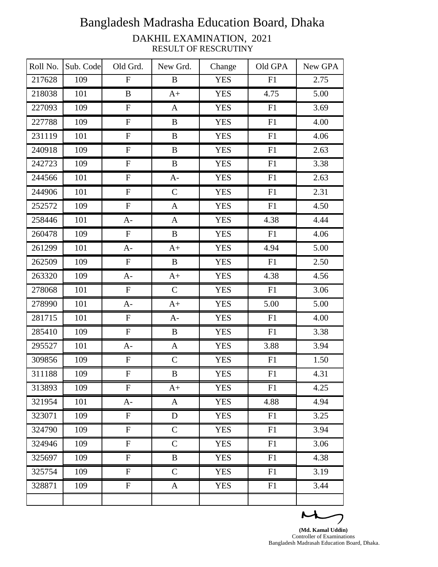| Roll No. | Sub. Code | Old Grd.                  | New Grd.     | Change     | Old GPA    | New GPA |
|----------|-----------|---------------------------|--------------|------------|------------|---------|
| 217628   | 109       | $\mathbf F$               | B            | <b>YES</b> | F1         | 2.75    |
| 218038   | 101       | B                         | $A+$         | <b>YES</b> | 4.75       | 5.00    |
| 227093   | 109       | ${\bf F}$                 | $\mathbf{A}$ | <b>YES</b> | ${\rm F}1$ | 3.69    |
| 227788   | 109       | ${\bf F}$                 | $\, {\bf B}$ | <b>YES</b> | F1         | 4.00    |
| 231119   | 101       | ${\bf F}$                 | $\bf{B}$     | <b>YES</b> | F1         | 4.06    |
| 240918   | 109       | ${\bf F}$                 | $\, {\bf B}$ | <b>YES</b> | F1         | 2.63    |
| 242723   | 109       | ${\bf F}$                 | $\, {\bf B}$ | <b>YES</b> | F1         | 3.38    |
| 244566   | 101       | ${\bf F}$                 | $A-$         | <b>YES</b> | F1         | 2.63    |
| 244906   | 101       | ${\bf F}$                 | $\mathsf{C}$ | <b>YES</b> | F1         | 2.31    |
| 252572   | 109       | $\boldsymbol{\mathrm{F}}$ | $\mathbf{A}$ | <b>YES</b> | F1         | 4.50    |
| 258446   | 101       | $A-$                      | $\mathbf{A}$ | <b>YES</b> | 4.38       | 4.44    |
| 260478   | 109       | ${\bf F}$                 | $\bf{B}$     | <b>YES</b> | F1         | 4.06    |
| 261299   | 101       | $A-$                      | $A+$         | <b>YES</b> | 4.94       | 5.00    |
| 262509   | 109       | ${\bf F}$                 | $\bf{B}$     | <b>YES</b> | F1         | 2.50    |
| 263320   | 109       | $A-$                      | $A+$         | <b>YES</b> | 4.38       | 4.56    |
| 278068   | 101       | ${\bf F}$                 | ${\bf C}$    | <b>YES</b> | F1         | 3.06    |
| 278990   | 101       | $A-$                      | $A+$         | <b>YES</b> | 5.00       | 5.00    |
| 281715   | 101       | ${\bf F}$                 | $A-$         | <b>YES</b> | F1         | 4.00    |
| 285410   | 109       | ${\bf F}$                 | $\bf{B}$     | <b>YES</b> | F1         | 3.38    |
| 295527   | 101       | $A-$                      | $\mathbf{A}$ | <b>YES</b> | 3.88       | 3.94    |
| 309856   | 109       | $\boldsymbol{\mathrm{F}}$ | $\mathsf{C}$ | <b>YES</b> | F1         | 1.50    |
| 311188   | 109       | ${\bf F}$                 | B            | <b>YES</b> | F1         | 4.31    |
| 313893   | 109       | $\mathbf F$               | $A+$         | <b>YES</b> | F1         | 4.25    |
| 321954   | 101       | $A-$                      | A            | <b>YES</b> | 4.88       | 4.94    |
| 323071   | 109       | $\mathbf F$               | $\mathbf D$  | <b>YES</b> | F1         | 3.25    |
| 324790   | 109       | ${\bf F}$                 | $\mathbf C$  | <b>YES</b> | F1         | 3.94    |
| 324946   | 109       | $\mathbf F$               | $\mathsf{C}$ | <b>YES</b> | F1         | 3.06    |
| 325697   | 109       | $\mathbf F$               | B            | <b>YES</b> | F1         | 4.38    |
| 325754   | 109       | $\mathbf F$               | $\mathbf C$  | <b>YES</b> | F1         | 3.19    |
| 328871   | 109       | ${\bf F}$                 | $\mathbf{A}$ | <b>YES</b> | F1         | 3.44    |
|          |           |                           |              |            |            |         |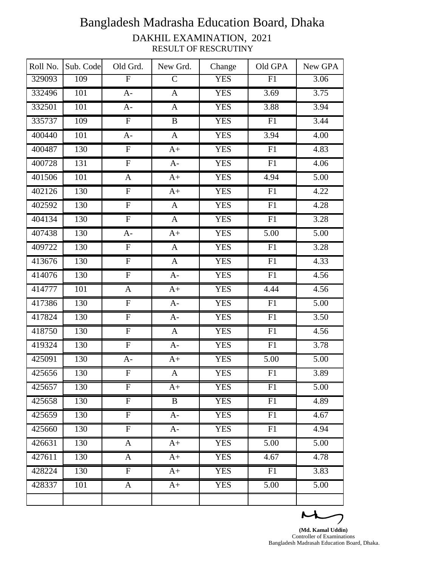| Roll No. | Sub. Code        | Old Grd.                  | New Grd.     | Change     | Old GPA         | New GPA           |
|----------|------------------|---------------------------|--------------|------------|-----------------|-------------------|
| 329093   | 109              | $\overline{\mathrm{F}}$   | $\mathsf{C}$ | <b>YES</b> | F1              | 3.06              |
| 332496   | $\overline{101}$ | $A-$                      | $\mathbf{A}$ | <b>YES</b> | 3.69            | 3.75              |
| 332501   | 101              | $A-$                      | $\mathbf{A}$ | <b>YES</b> | 3.88            | 3.94              |
| 335737   | 109              | $\overline{F}$            | $\, {\bf B}$ | <b>YES</b> | F1              | 3.44              |
| 400440   | 101              | $A-$                      | $\mathbf{A}$ | <b>YES</b> | 3.94            | $\overline{4.00}$ |
| 400487   | 130              | ${\bf F}$                 | $A+$         | <b>YES</b> | F1              | 4.83              |
| 400728   | 131              | $\overline{F}$            | $A-$         | <b>YES</b> | F1              | 4.06              |
| 401506   | 101              | $\mathbf{A}$              | $A+$         | <b>YES</b> | 4.94            | 5.00              |
| 402126   | 130              | ${\bf F}$                 | $A+$         | <b>YES</b> | F1              | 4.22              |
| 402592   | 130              | $\boldsymbol{\mathrm{F}}$ | A            | <b>YES</b> | F1              | 4.28              |
| 404134   | 130              | $\overline{F}$            | $\mathbf{A}$ | <b>YES</b> | ${\rm F}1$      | 3.28              |
| 407438   | 130              | $A-$                      | $A+$         | <b>YES</b> | 5.00            | $\overline{5.00}$ |
| 409722   | 130              | ${\bf F}$                 | $\mathbf{A}$ | <b>YES</b> | F1              | 3.28              |
| 413676   | 130              | ${\bf F}$                 | $\mathbf{A}$ | <b>YES</b> | F1              | 4.33              |
| 414076   | 130              | $\overline{F}$            | $A-$         | <b>YES</b> | $\overline{F1}$ | 4.56              |
| 414777   | 101              | $\mathbf{A}$              | $A+$         | <b>YES</b> | 4.44            | 4.56              |
| 417386   | 130              | ${\bf F}$                 | $A-$         | <b>YES</b> | F1              | 5.00              |
| 417824   | 130              | ${\bf F}$                 | $A-$         | <b>YES</b> | F1              | 3.50              |
| 418750   | 130              | $\overline{F}$            | $\mathbf{A}$ | <b>YES</b> | F1              | 4.56              |
| 419324   | 130              | $\overline{F}$            | $A-$         | <b>YES</b> | F1              | 3.78              |
| 425091   | 130              | $A-$                      | $A+$         | <b>YES</b> | 5.00            | 5.00              |
| 425656   | 130              | $\overline{F}$            | $\mathbf{A}$ | <b>YES</b> | F1              | 3.89              |
| 425657   | 130              | $\overline{F}$            | $A+$         | <b>YES</b> | F1              | 5.00              |
| 425658   | 130              | $\overline{F}$            | $\mathbf{B}$ | <b>YES</b> | F1              | 4.89              |
| 425659   | 130              | ${\bf F}$                 | $A-$         | <b>YES</b> | F1              | 4.67              |
| 425660   | 130              | ${\bf F}$                 | $A-$         | <b>YES</b> | F1              | 4.94              |
| 426631   | 130              | A                         | $A+$         | <b>YES</b> | 5.00            | 5.00              |
| 427611   | 130              | $\mathbf{A}$              | $A+$         | <b>YES</b> | 4.67            | 4.78              |
| 428224   | 130              | ${\bf F}$                 | $A+$         | <b>YES</b> | F1              | 3.83              |
| 428337   | 101              | $\mathbf{A}$              | $A+$         | <b>YES</b> | 5.00            | 5.00              |
|          |                  |                           |              |            |                 |                   |